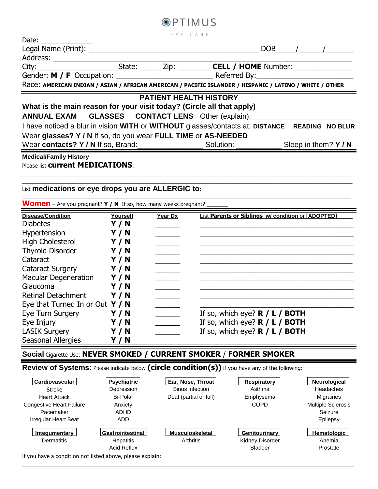| Date: $\frac{1}{\sqrt{1-\frac{1}{2}}}\frac{1}{\sqrt{1-\frac{1}{2}}}\frac{1}{\sqrt{1-\frac{1}{2}}}\frac{1}{\sqrt{1-\frac{1}{2}}}\frac{1}{\sqrt{1-\frac{1}{2}}}\frac{1}{\sqrt{1-\frac{1}{2}}}\frac{1}{\sqrt{1-\frac{1}{2}}}\frac{1}{\sqrt{1-\frac{1}{2}}}\frac{1}{\sqrt{1-\frac{1}{2}}}\frac{1}{\sqrt{1-\frac{1}{2}}}\frac{1}{\sqrt{1-\frac{1}{2}}}\frac{1}{\sqrt{1-\frac{1}{2}}}\frac{1}{\sqrt{1-\frac{1}{2}}}\frac{1}{\$ |  | EYE CARE |  |  |           |  |  |  |
|--------------------------------------------------------------------------------------------------------------------------------------------------------------------------------------------------------------------------------------------------------------------------------------------------------------------------------------------------------------------------------------------------------------------------|--|----------|--|--|-----------|--|--|--|
|                                                                                                                                                                                                                                                                                                                                                                                                                          |  |          |  |  | $DOB$ / / |  |  |  |
|                                                                                                                                                                                                                                                                                                                                                                                                                          |  |          |  |  |           |  |  |  |
|                                                                                                                                                                                                                                                                                                                                                                                                                          |  |          |  |  |           |  |  |  |
|                                                                                                                                                                                                                                                                                                                                                                                                                          |  |          |  |  |           |  |  |  |
| Race: AMERICAN INDIAN / ASIAN / AFRICAN AMERICAN / PACIFIC ISLANDER / HISPANIC / LATINO / WHITE / OTHER                                                                                                                                                                                                                                                                                                                  |  |          |  |  |           |  |  |  |
| <b>PATIENT HEALTH HISTORY</b>                                                                                                                                                                                                                                                                                                                                                                                            |  |          |  |  |           |  |  |  |
| What is the main reason for your visit today? (Circle all that apply)                                                                                                                                                                                                                                                                                                                                                    |  |          |  |  |           |  |  |  |
| ANNUAL EXAM GLASSES CONTACT LENS Other (explain): ______________________________                                                                                                                                                                                                                                                                                                                                         |  |          |  |  |           |  |  |  |
| I have noticed a blur in vision WITH or WITHOUT glasses/contacts at: DISTANCE READING NO BLUR                                                                                                                                                                                                                                                                                                                            |  |          |  |  |           |  |  |  |
| Wear glasses? Y / N If so, do you wear FULL TIME or AS-NEEDED                                                                                                                                                                                                                                                                                                                                                            |  |          |  |  |           |  |  |  |
| Wear contacts? Y / N If so, Brand: Section 2011 Solution: Solution: Sleep in them? Y / N                                                                                                                                                                                                                                                                                                                                 |  |          |  |  |           |  |  |  |
| <b>Medical/Family History</b>                                                                                                                                                                                                                                                                                                                                                                                            |  |          |  |  |           |  |  |  |

**OPTIMUS** 

 $\_$  , and the set of the set of the set of the set of the set of the set of the set of the set of the set of the set of the set of the set of the set of the set of the set of the set of the set of the set of the set of th  $\_$  ,  $\_$  ,  $\_$  ,  $\_$  ,  $\_$  ,  $\_$  ,  $\_$  ,  $\_$  ,  $\_$  ,  $\_$  ,  $\_$  ,  $\_$  ,  $\_$  ,  $\_$  ,  $\_$  ,  $\_$  ,  $\_$  ,  $\_$  ,  $\_$  ,  $\_$  ,  $\_$  ,  $\_$  ,  $\_$  ,  $\_$  ,  $\_$  ,  $\_$  ,  $\_$  ,  $\_$  ,  $\_$  ,  $\_$  ,  $\_$  ,  $\_$  ,  $\_$  ,  $\_$  ,  $\_$  ,  $\_$  ,  $\_$  ,

\_\_\_\_\_\_\_\_\_\_\_\_\_\_\_\_\_\_\_\_\_\_\_\_\_\_\_\_\_\_\_\_\_\_\_\_\_\_\_\_\_\_\_\_\_\_\_\_\_\_\_\_\_\_\_\_\_\_\_\_\_\_\_\_\_\_\_\_\_\_\_\_\_\_\_\_\_\_\_\_\_\_\_\_\_\_\_\_\_\_\_\_\_\_\_\_\_\_\_\_\_\_\_\_\_\_\_\_\_\_\_\_\_\_\_\_\_\_\_\_\_\_

Please list **current MEDICATIONS**:

### List **medications or eye drops you are ALLERGIC to**:

| <b>Women</b> – Are you pregnant? $Y / N$ If so, how many weeks pregnant? |          |         |                                                           |  |  |  |
|--------------------------------------------------------------------------|----------|---------|-----------------------------------------------------------|--|--|--|
| <b>Disease/Condition</b>                                                 | Yourself | Year Dx | <b>List Parents or Siblings w/ condition or [ADOPTED]</b> |  |  |  |
| <b>Diabetes</b>                                                          | Y / N    |         |                                                           |  |  |  |
| Hypertension                                                             | Y/N      |         |                                                           |  |  |  |
| <b>High Cholesterol</b>                                                  | Y / N    |         |                                                           |  |  |  |
| <b>Thyroid Disorder</b>                                                  | Y / N    |         |                                                           |  |  |  |
| Cataract                                                                 | Y / N    |         |                                                           |  |  |  |
| <b>Cataract Surgery</b>                                                  | Y / N    |         |                                                           |  |  |  |
| <b>Macular Degeneration</b>                                              | Y/N      |         |                                                           |  |  |  |
| Glaucoma                                                                 | Y/N      |         |                                                           |  |  |  |
| <b>Retinal Detachment</b>                                                | Y/N      |         |                                                           |  |  |  |
| Eye that Turned In or Out $Y / N$                                        |          |         |                                                           |  |  |  |
| Eye Turn Surgery                                                         | Y / N    |         | If so, which eye? $\mathbb{R}$ / L / BOTH                 |  |  |  |
| Eye Injury                                                               | Y / N    |         | If so, which eye? $R / L / B$ OTH                         |  |  |  |
| <b>LASIK Surgery</b>                                                     | Y / N    |         | If so, which eye? $R / L / B$ OTH                         |  |  |  |
| <b>Seasonal Allergies</b>                                                | 7 N      |         |                                                           |  |  |  |

### **Social** Cigarette Use: **NEVER SMOKED / CURRENT SMOKER** / **FORMER SMOKER**

**Review of Systems:** Please indicate below **(circle condition(s))** if you have any of the following:

| Cardiovascular                  | Psychiatric        | Ear, Nose, Throat      | <b>Respiratory</b>   | Neurological              |
|---------------------------------|--------------------|------------------------|----------------------|---------------------------|
| Stroke                          | Depression         | Sinus infection        | Asthma               | Headaches                 |
| Heart Attack                    | Bi-Polar           | Deaf (partial or full) | Emphysema            | Migraines                 |
| <b>Congestive Heart Failure</b> | Anxiety            |                        | COPD                 | <b>Multiple Sclerosis</b> |
| Pacemaker                       | ADHD               |                        |                      | Seizure                   |
| Irregular Heart Beat            | <b>ADD</b>         |                        |                      | Epilepsy                  |
| Integumentary                   | Gastrointestinal   | <b>Musculoskeletal</b> | <b>Genitourinary</b> | Hematologic               |
| Dermatitis                      | <b>Hepatitis</b>   | <b>Arthritis</b>       | Kidney Disorder      | Anemia                    |
|                                 | <b>Acid Reflux</b> |                        | <b>Bladder</b>       | Prostate                  |

\_\_\_\_\_\_\_\_\_\_\_\_\_\_\_\_\_\_\_\_\_\_\_\_\_\_\_\_\_\_\_\_\_\_\_\_\_\_\_\_\_\_\_\_\_\_\_\_\_\_\_\_\_\_\_\_\_\_\_\_\_\_\_\_\_\_\_\_\_\_\_\_\_\_\_\_\_\_\_\_\_\_\_\_\_\_\_\_\_\_\_\_\_\_\_\_\_\_\_\_\_\_\_\_\_\_\_\_ \_\_\_\_\_\_\_\_\_\_\_\_\_\_\_\_\_\_\_\_\_\_\_\_\_\_\_\_\_\_\_\_\_\_\_\_\_\_\_\_\_\_\_\_\_\_\_\_\_\_\_\_\_\_\_\_\_\_\_\_\_\_\_\_\_\_\_\_\_\_\_\_\_\_\_\_\_\_\_\_\_\_\_\_\_\_\_\_\_\_\_\_\_\_\_\_\_\_\_\_\_\_\_\_\_\_\_\_

If you have a condition not listed above, please explain: